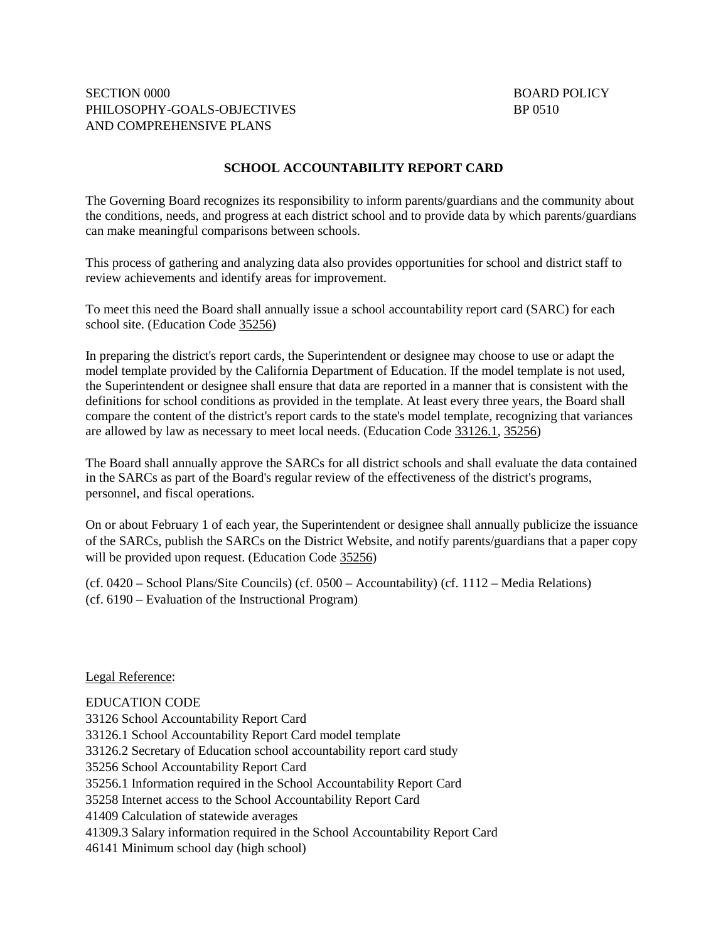## **SCHOOL ACCOUNTABILITY REPORT CARD**

The Governing Board recognizes its responsibility to inform parents/guardians and the community about the conditions, needs, and progress at each district school and to provide data by which parents/guardians can make meaningful comparisons between schools.

This process of gathering and analyzing data also provides opportunities for school and district staff to review achievements and identify areas for improvement.

To meet this need the Board shall annually issue a school accountability report card (SARC) for each school site. (Education Code [35256\)](http://gamutonline.net/displayPolicy/131444/0)

In preparing the district's report cards, the Superintendent or designee may choose to use or adapt the model template provided by the California Department of Education. If the model template is not used, the Superintendent or designee shall ensure that data are reported in a manner that is consistent with the definitions for school conditions as provided in the template. At least every three years, the Board shall compare the content of the district's report cards to the state's model template, recognizing that variances are allowed by law as necessary to meet local needs. (Education Code [33126.1,](http://gamutonline.net/displayPolicy/226264/0) [35256\)](http://gamutonline.net/displayPolicy/131444/0)

The Board shall annually approve the SARCs for all district schools and shall evaluate the data contained in the SARCs as part of the Board's regular review of the effectiveness of the district's programs, personnel, and fiscal operations.

On or about February 1 of each year, the Superintendent or designee shall annually publicize the issuance of the SARCs, publish the SARCs on the District Website, and notify parents/guardians that a paper copy will be provided upon request. (Education Code [35256\)](http://gamutonline.net/displayPolicy/131444/0)

(cf. 0420 – School Plans/Site Councils) (cf. 0500 – Accountability) (cf. 1112 – Media Relations) (cf. 6190 – Evaluation of the Instructional Program)

Legal Reference:

EDUCATION CODE 33126 School Accountability Report Card 33126.1 School Accountability Report Card model template 33126.2 Secretary of Education school accountability report card study 35256 School Accountability Report Card 35256.1 Information required in the School Accountability Report Card 35258 Internet access to the School Accountability Report Card 41409 Calculation of statewide averages 41309.3 Salary information required in the School Accountability Report Card 46141 Minimum school day (high school)